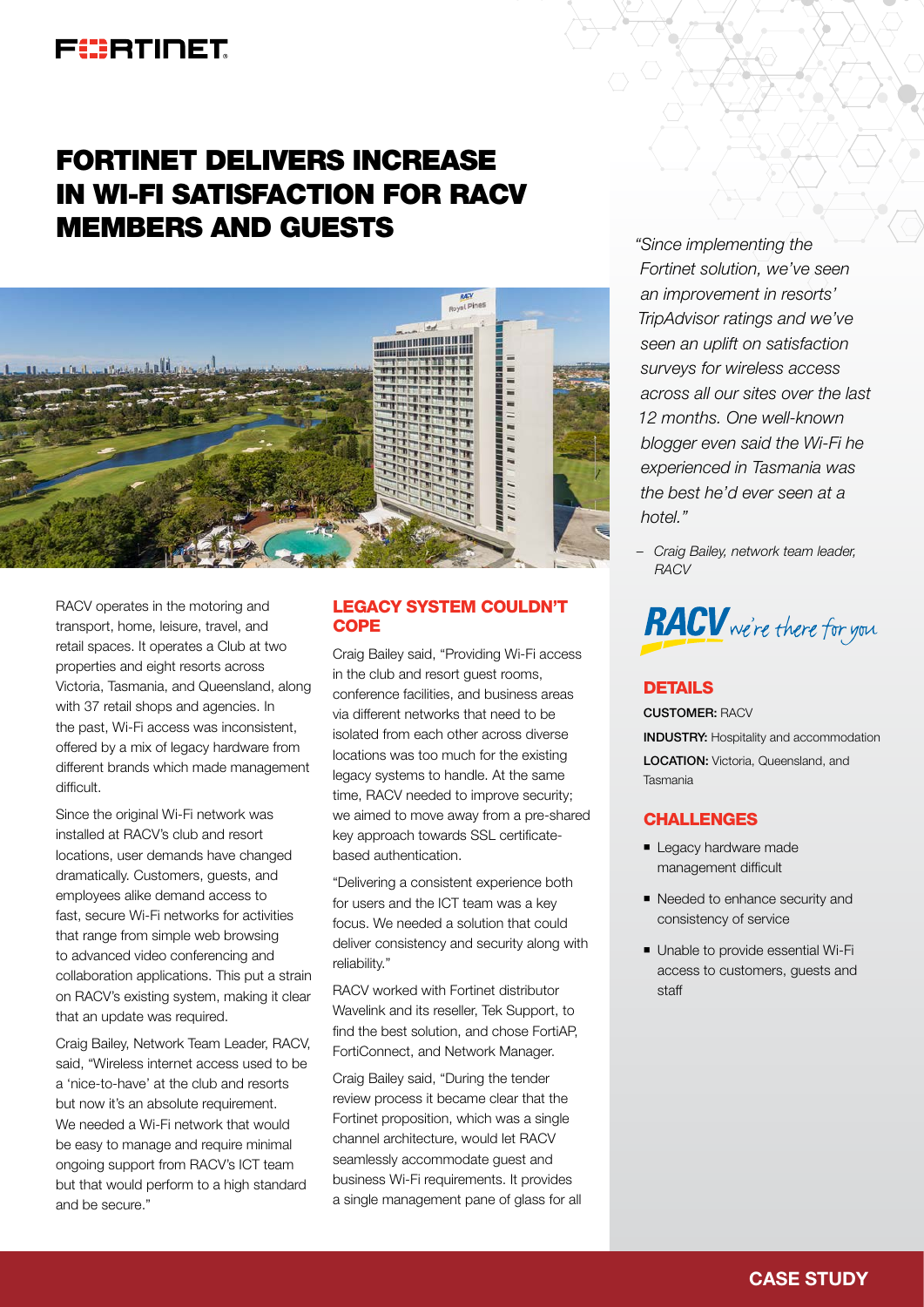## FURTIDET

# FORTINET DELIVERS INCREASE IN WI-FI SATISFACTION FOR RACV MEMBERS AND GUESTS



RACV operates in the motoring and transport, home, leisure, travel, and retail spaces. It operates a Club at two properties and eight resorts across Victoria, Tasmania, and Queensland, along with 37 retail shops and agencies. In the past, Wi-Fi access was inconsistent, offered by a mix of legacy hardware from different brands which made management difficult.

Since the original Wi-Fi network was installed at RACV's club and resort locations, user demands have changed dramatically. Customers, guests, and employees alike demand access to fast, secure Wi-Fi networks for activities that range from simple web browsing to advanced video conferencing and collaboration applications. This put a strain on RACV's existing system, making it clear that an update was required.

Craig Bailey, Network Team Leader, RACV, said, "Wireless internet access used to be a 'nice-to-have' at the club and resorts but now it's an absolute requirement. We needed a Wi-Fi network that would be easy to manage and require minimal ongoing support from RACV's ICT team but that would perform to a high standard and be secure."

#### LEGACY SYSTEM COULDN'T **COPE**

Craig Bailey said, "Providing Wi-Fi access in the club and resort quest rooms. conference facilities, and business areas via different networks that need to be isolated from each other across diverse locations was too much for the existing legacy systems to handle. At the same time, RACV needed to improve security; we aimed to move away from a pre-shared key approach towards SSL certificatebased authentication.

"Delivering a consistent experience both for users and the ICT team was a key focus. We needed a solution that could deliver consistency and security along with reliability."

RACV worked with Fortinet distributor Wavelink and its reseller, Tek Support, to find the best solution, and chose FortiAP, FortiConnect, and Network Manager.

Craig Bailey said, "During the tender review process it became clear that the Fortinet proposition, which was a single channel architecture, would let RACV seamlessly accommodate guest and business Wi-Fi requirements. It provides a single management pane of glass for all *"Since implementing the Fortinet solution, we've seen an improvement in resorts' TripAdvisor ratings and we've seen an uplift on satisfaction surveys for wireless access across all our sites over the last 12 months. One well-known blogger even said the Wi-Fi he experienced in Tasmania was the best he'd ever seen at a hotel."*

*– Craig Bailey, network team leader, RACV*



### **DETAILS**

CUSTOMER: RACV INDUSTRY: Hospitality and accommodation LOCATION: Victoria, Queensland, and Tasmania

#### **CHALLENGES**

- **E** Legacy hardware made management difficult
- Needed to enhance security and consistency of service
- Unable to provide essential Wi-Fi access to customers, guests and staff